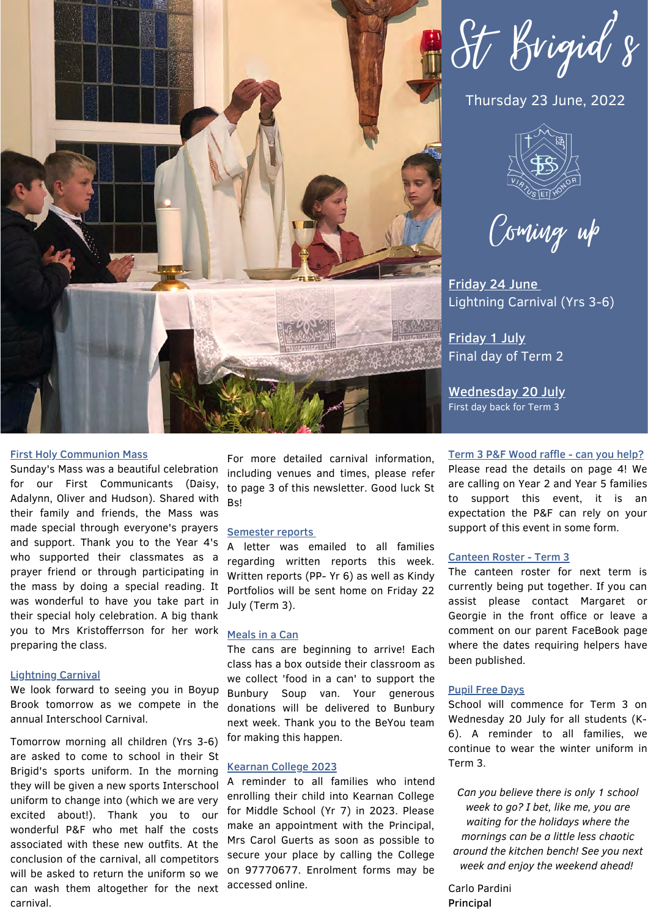

St Brigid's

### Thursday 23 June, 2022



Coming up

Friday 24 June Lightning Carnival (Yrs 3-6)

Friday 1 July Final day of Term 2

Wednesday 20 July First day back for Term 3

### First Holy Communion Mass

Sunday's Mass was a beautiful celebration for our First Communicants (Daisy, Adalynn, Oliver and Hudson). Shared with their family and friends, the Mass was made special through everyone's prayers and support. Thank you to the Year 4's who supported their classmates as a prayer friend or through participating in the mass by doing a special reading. It was wonderful to have you take part in their special holy celebration. A big thank you to Mrs Kristofferrson for her work preparing the class.

#### Lightning Carnival

We look forward to seeing you in Boyup Brook tomorrow as we compete in the annual Interschool Carnival.

Tomorrow morning all children (Yrs 3-6) are asked to come to school in their St Brigid's sports uniform. In the morning they will be given a new sports Interschool uniform to change into (which we are very excited about!). Thank you to our wonderful P&F who met half the costs associated with these new outfits. At the conclusion of the carnival, all competitors will be asked to return the uniform so we can wash them altogether for the next carnival.

For more detailed carnival information, including venues and times, please refer to page 3 of this newsletter. Good luck St Bs!

### Semester reports

A letter was emailed to all families regarding written reports this week. Written reports (PP- Yr 6) as well as Kindy Portfolios will be sent home on Friday 22 July (Term 3).

#### Meals in a Can

The cans are beginning to arrive! Each class has a box outside their classroom as we collect 'food in a can' to support the Bunbury Soup van. Your generous donations will be delivered to Bunbury next week. Thank you to the BeYou team for making this happen.

### Kearnan College 2023

A reminder to all families who intend enrolling their child into Kearnan College for Middle School (Yr 7) in 2023. Please make an appointment with the Principal, Mrs Carol Guerts as soon as possible to secure your place by calling the College on 97770677. Enrolment forms may be accessed online.

Term 3 P&F Wood raffle - can you help? Please read the details on page 4! We are calling on Year 2 and Year 5 families to support this event, it is an expectation the P&F can rely on your support of this event in some form.

### Canteen Roster - Term 3

The canteen roster for next term is currently being put together. If you can assist please contact Margaret or Georgie in the front office or leave a comment on our parent FaceBook page where the dates requiring helpers have been published.

### Pupil Free Days

School will commence for Term 3 on Wednesday 20 July for all students (K-6). A reminder to all families, we continue to wear the winter uniform in Term 3.

*Can you believe there is only 1 school week to go? I bet, like me, you are waiting for the holidays where the mornings can be a little less chaotic around the kitchen bench! See you next week and enjoy the weekend ahead!*

Carlo Pardini Principal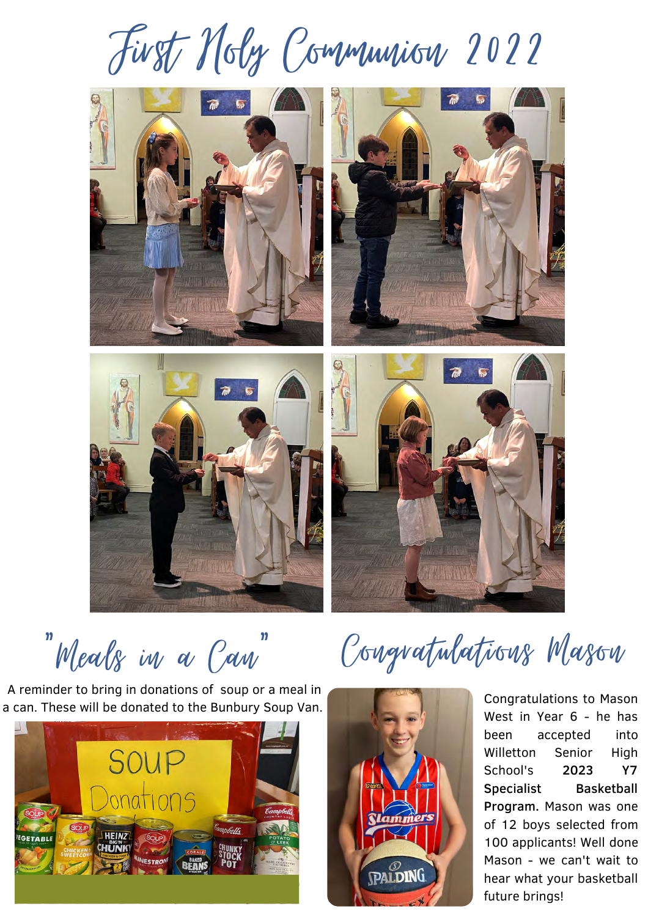## First Holy Communion 2022



A reminder to bring in donations of soup or a meal in a can. These will be donated to the Bunbury Soup Van.



"Meals in a Can" Congratulations Mason



Congratulations to Mason West in Year 6 - he has been accepted into Willetton Senior High School's 2023 Y7 Specialist Basketball Program. Mason was one of 12 boys selected from 100 applicants! Well done Mason - we can't wait to hear what your basketball future brings!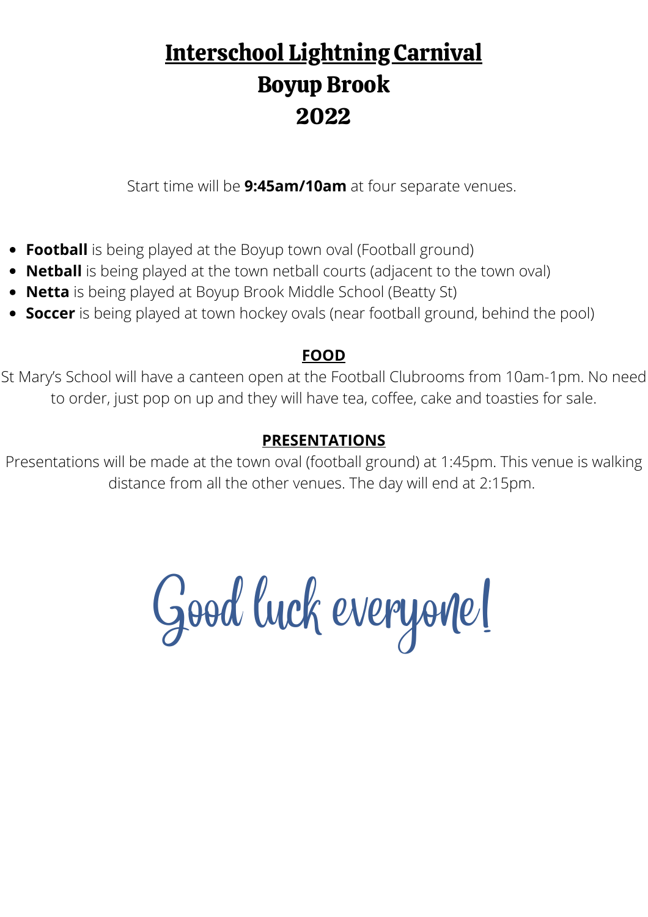### Interschool Lightning Carnival Boyup Brook 2022

Start time will be **9:45am/10am** at four separate venues.

- **Football** is being played at the Boyup town oval (Football ground)
- **Netball** is being played at the town netball courts (adjacent to the town oval)
- **Netta** is being played at Boyup Brook Middle School (Beatty St)
- **Soccer** is being played at town hockey ovals (near football ground, behind the pool)

### **FOOD**

St Mary's School will have a canteen open at the Football Clubrooms from 10am-1pm. No need to order, just pop on up and they will have tea, coffee, cake and toasties for sale.

### **PRESENTATIONS**

Presentations will be made at the town oval (football ground) at 1:45pm. This venue is walking distance from all the other venues. The day will end at 2:15pm.

Good luck everyone!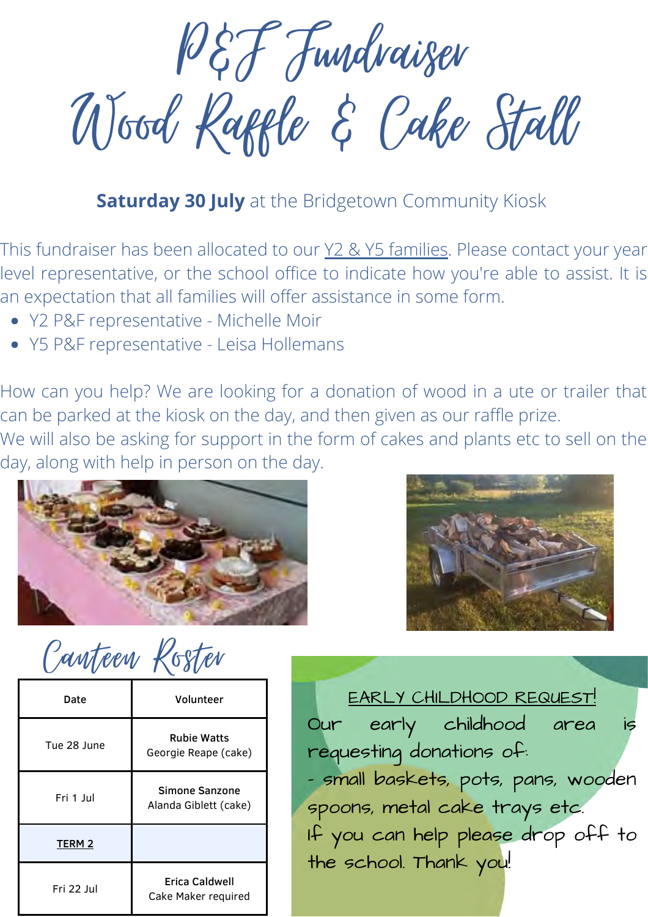P&F Fundraiser Wood Raffle & Cake Stall

**Saturday 30 July** at the Bridgetown Community Kiosk

This fundraiser has been allocated to our Y2 & Y5 families. Please contact your year level representative, or the school office to indicate how you're able to assist. It is an expectation that all families will offer assistance in some form.

- Y2 P&F representative Michelle Moir
- Y5 P&F representative Leisa Hollemans

How can you help? We are looking for a donation of wood in a ute or trailer that can be parked at the kiosk on the day, and then given as our raffle prize.

We will also be asking for support in the form of cakes and plants etc to sell on the day, along with help in person on the day.





Canteen Roster

| Date          | Volunteer                                      |
|---------------|------------------------------------------------|
| Tue 28 June   | <b>Rubie Watts</b><br>Georgie Reape (cake)     |
| Fri 1 Jul     | <b>Simone Sanzone</b><br>Alanda Giblett (cake) |
| <u>TERM 2</u> |                                                |
| Fri 22 Jul    | <b>Erica Caldwell</b><br>Cake Maker required   |

EARLY CHILDHOOD REQUEST! Our early childhood area is requesting donations of: - small baskets, pots, pans, wooden spoons, metal cake trays etc. If you can help please drop off to the school. Thank you!